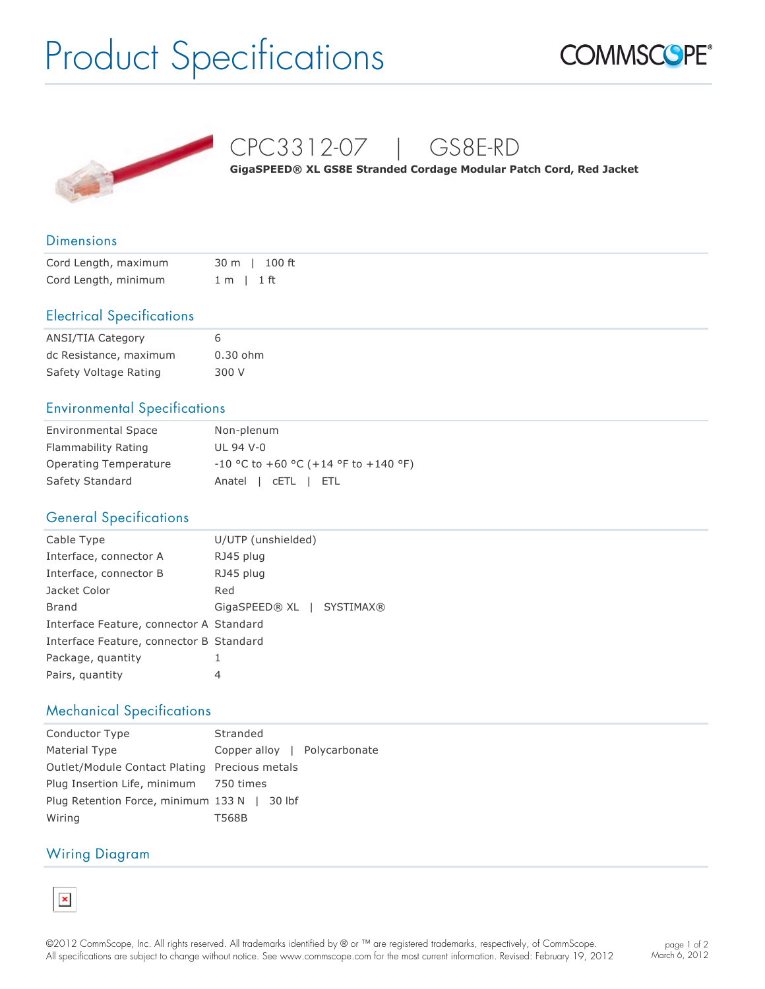# Product Specifications





CPC3312-07 | GS8E-RD

**GigaSPEED® XL GS8E Stranded Cordage Modular Patch Cord, Red Jacket**

#### **Dimensions**

| Cord Length, maximum |                | 30 m   100 ft |
|----------------------|----------------|---------------|
| Cord Length, minimum | $1 m$   $1 ft$ |               |

### Electrical Specifications

| <b>ANSI/TIA Category</b> | 6          |
|--------------------------|------------|
| dc Resistance, maximum   | $0.30$ ohm |
| Safety Voltage Rating    | 300 V      |

## Environmental Specifications

| <b>Environmental Space</b> | Non-plenum                             |
|----------------------------|----------------------------------------|
| Flammability Rating        | UL 94 V-0                              |
| Operating Temperature      | $-10$ °C to +60 °C (+14 °F to +140 °F) |
| Safety Standard            | Anatel   CETL   ETL                    |

## General Specifications

| Cable Type                              | U/UTP (unshielded)        |
|-----------------------------------------|---------------------------|
| Interface, connector A                  | RJ45 plug                 |
| Interface, connector B                  | RJ45 plug                 |
| Jacket Color                            | Red                       |
| Brand                                   | GigaSPEED® XL   SYSTIMAX® |
| Interface Feature, connector A Standard |                           |
| Interface Feature, connector B Standard |                           |
| Package, quantity                       | 1                         |
| Pairs, quantity                         | 4                         |

## Mechanical Specifications

| Conductor Type                                | Stranded                     |
|-----------------------------------------------|------------------------------|
| Material Type                                 | Copper alloy   Polycarbonate |
| Outlet/Module Contact Plating Precious metals |                              |
| Plug Insertion Life, minimum 750 times        |                              |
| Plug Retention Force, minimum 133 N   30 lbf  |                              |
| Wiring                                        | T568B                        |

#### Wiring Diagram